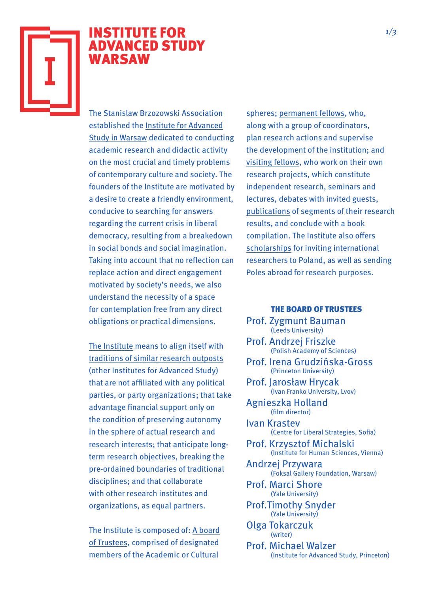

## INSTITUTE FOR ADVANCED STUDY WARSAW

The Stanislaw Brzozowski Association established the Institute for Advanced Study in Warsaw dedicated to conducting academic research and didactic activity on the most crucial and timely problems of contemporary culture and society. The founders of the Institute are motivated by a desire to create a friendly environment, conducive to searching for answers regarding the current crisis in liberal democracy, resulting from a breakedown in social bonds and social imagination. Taking into account that no reflection can replace action and direct engagement motivated by society's needs, we also understand the necessity of a space for contemplation free from any direct obligations or practical dimensions.

The Institute means to align itself with traditions of similar research outposts (other Institutes for Advanced Study) that are not affiliated with any political parties, or party organizations; that take advantage financial support only on the condition of preserving autonomy in the sphere of actual research and research interests; that anticipate longterm research objectives, breaking the pre-ordained boundaries of traditional disciplines; and that collaborate with other research institutes and organizations, as equal partners.

The Institute is composed of: A board of Trustees, comprised of designated members of the Academic or Cultural

spheres; permanent fellows, who, along with a group of coordinators, plan research actions and supervise the development of the institution; and visiting fellows, who work on their own research projects, which constitute independent research, seminars and lectures, debates with invited guests, publications of segments of their research results, and conclude with a book compilation. The Institute also offers scholarships for inviting international researchers to Poland, as well as sending Poles abroad for research purposes.

## THE BOARD OF TRUSTEES

- Prof. Zygmunt Bauman (Leeds University)
- Prof. Andrzej Friszke (Polish Academy of Sciences)
- Prof. Irena Grudzińska-Gross (Princeton University)
- Prof. Jarosław Hrycak (Ivan Franko University, Lvov)
- Agnieszka Holland (film director)
- Ivan Krastev (Centre for Liberal Strategies, Sofia)
- Prof. Krzysztof Michalski (Institute for Human Sciences, Vienna)
- Andrzej Przywara (Foksal Gallery Foundation, Warsaw)
- Prof. Marci Shore (Yale University)
- Prof.Timothy Snyder (Yale University)
- Olga Tokarczuk (writer)
- Prof. Michael Walzer (Institute for Advanced Study, Princeton)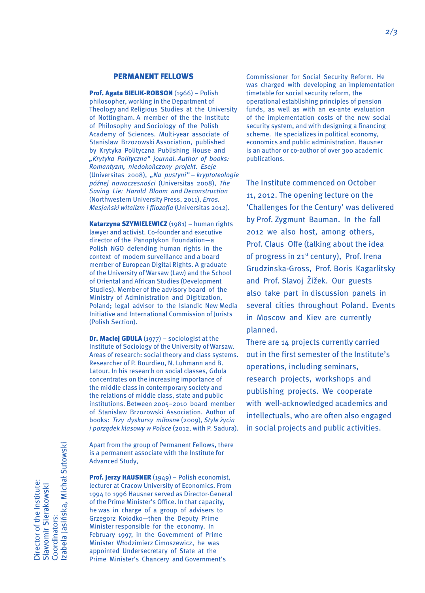## PERMANENT FELLOWS

Prof. Agata BIELIK-ROBSON (1966) – Polish philosopher, working in the Department of Theology and Religious Studies at the University of Nottingham. A member of the the Institute of Philosophy and Sociology of the Polish Academy of Sciences. Multi-year associate of Stanislaw Brzozowski Association, published by Krytyka Polityczna Publishing House and "Krytyka Polityczna" journal. Author of books: Romantyzm, niedokończony projekt. Eseje (Universitas 2008), "Na pustyni" – kryptoteologie późnej nowoczesności (Universitas 2008), The Saving Lie: Harold Bloom and Deconstruction (Northwestern University Press, 2011), Erros. Mesjański witalizm i filozofia (Universitas 2012).

Katarzyna SZYMIELEWICZ (1981) – human rights lawyer and activist. Co-founder and executive director of the Panoptykon Foundation—a Polish NGO defending human rights in the context of modern surveillance and a board member of European Digital Rights. A graduate of the University of Warsaw (Law) and the School of Oriental and African Studies (Development Studies). Member of the advisory board of the Ministry of Administration and Digitization, Poland; legal advisor to the Islandic New Media Initiative and International Commission of Jurists (Polish Section).

**Dr. Maciej GDULA**  $(1977)$  – sociologist at the Institute of Sociology of the University of Warsaw. Areas of research: social theory and class systems. Researcher of P. Bourdieu, N. Luhmann and B. Latour. In his research on social classes, Gdula concentrates on the increasing importance of the middle class in contemporary society and the relations of middle class, state and public institutions. Between 2005–2010 board member of Stanislaw Brzozowski Association. Author of books: Trzy dyskursy miłosne (2009), Style życia i porządek klasowy w Polsce (2012, with P. Sadura).

Apart from the group of Permanent Fellows, there is a permanent associate with the Institute for Advanced Study,

Prof. Jerzy HAUSNER (1949) - Polish economist, lecturer at Cracow University of Economics. From 1994 to 1996 Hausner served as Director-General of the Prime Minister's Office. In that capacity, he was in charge of a group of advisers to Grzegorz Kołodko—then the Deputy Prime Minister responsible for the economy. In February 1997, in the Government of Prime Minister Włodzimierz Cimoszewicz, he was appointed Undersecretary of State at the Prime Minister's Chancery and Government's

Commissioner for Social Security Reform. He was charged with developing an implementation timetable for social security reform, the operational establishing principles of pension funds, as well as with an ex-ante evaluation of the implementation costs of the new social security system, and with designing a financing scheme. He specializes in political economy, economics and public administration. Hausner is an author or co-author of over 300 academic publications.

The Institute commenced on October 11, 2012. The opening lecture on the 'Challenges for the Century' was delivered by Prof. Zygmunt Bauman. In the fall 2012 we also host, among others, Prof. Claus Offe (talking about the idea of progress in 21<sup>st</sup> century), Prof. Irena Grudzinska-Gross, Prof. Boris Kagarlitsky and Prof. Slavoj Žižek. Our guests also take part in discussion panels in several cities throughout Poland. Events in Moscow and Kiev are currently planned.

There are 14 projects currently carried out in the first semester of the Institute's operations, including seminars, research projects, workshops and publishing projects. We cooperate with well-acknowledged academics and intellectuals, who are often also engaged in social projects and public activities.

zabela Jasińska, Michał Sutowski Izabela Jasińska, Michał SutowskiDirector of the Institute: Director of the Institute: Sławomir Sierakowski Sławomir Sierakowski Coordinators: Coordinators: